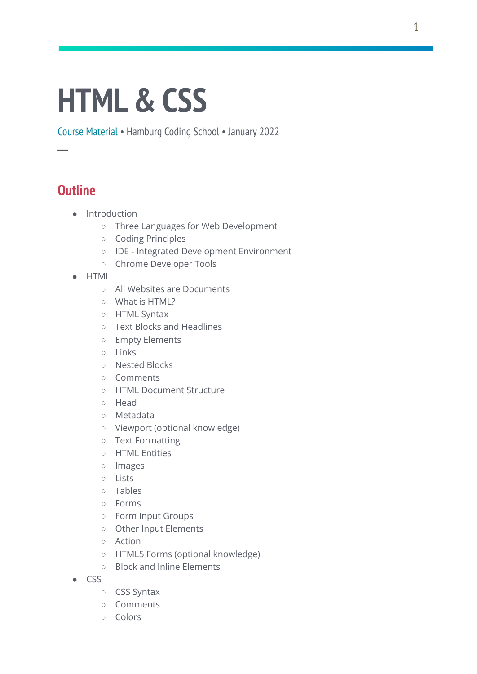# **HTML& CSS**

Course Material • Hamburg Coding School • January 2022

# **Outline**

**─**

- Introduction
	- Three Languages for Web Development
	- Coding Principles
	- IDE Integrated Development Environment
	- Chrome Developer Tools
- HTML
	- All Websites are Documents
	- What is HTML?
	- HTML Syntax
	- Text Blocks and Headlines
	- Empty Elements
	- Links
	- Nested Blocks
	- Comments
	- HTML Document Structure
	- Head
	- Metadata
	- Viewport (optional knowledge)
	- Text Formatting
	- HTML Entities
	- Images
	- Lists
	- Tables
	- Forms
	- Form Input Groups
	- Other Input Elements
	- Action
	- HTML5 Forms (optional knowledge)
	- Block and Inline Elements
- CSS
	- CSS Syntax
	- Comments
	- Colors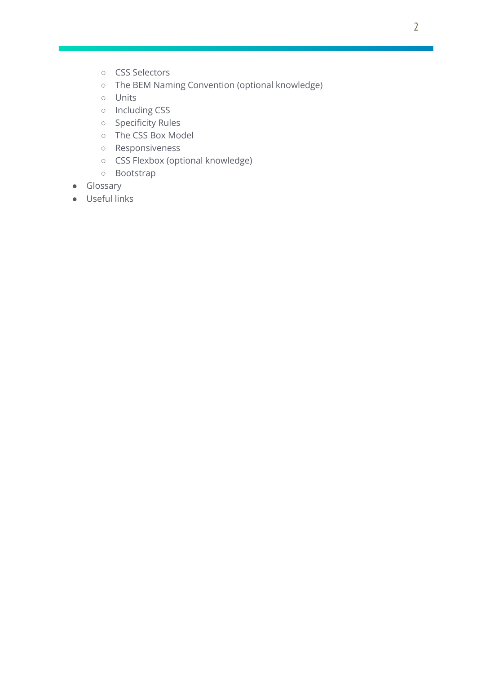- CSS Selectors
- The BEM Naming Convention (optional knowledge)
- Units
- Including CSS
- Specificity Rules
- The CSS Box Model
- Responsiveness
- CSS Flexbox (optional knowledge)
- Bootstrap
- Glossary
- Useful links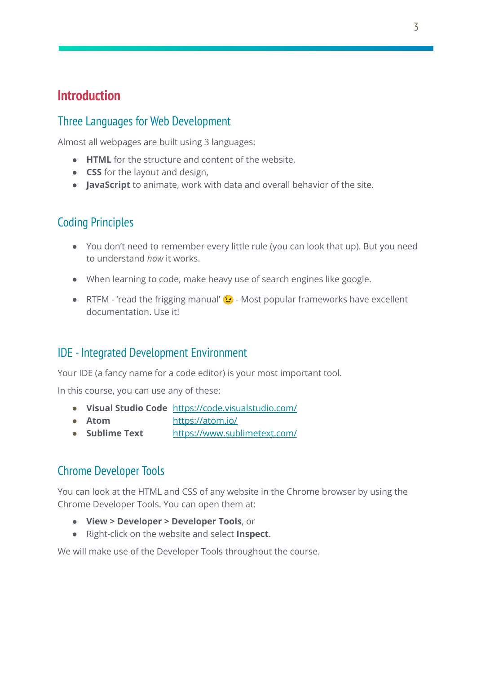# **Introduction**

# Three Languages for Web Development

Almost all webpages are built using 3 languages:

- **HTML** for the structure and content of the website,
- **CSS** for the layout and design,
- **JavaScript** to animate, work with data and overall behavior of the site.

# Coding Principles

- You don't need to remember every little rule (you can look that up). But you need to understand *how* it works.
- When learning to code, make heavy use of search engines like google.
- RTFM 'read the frigging manual'  $\odot$  Most popular frameworks have excellent documentation. Use it!

# IDE - Integrated Development Environment

Your IDE (a fancy name for a code editor) is your most important tool.

In this course, you can use any of these:

- **Visual Studio Code** <https://code.visualstudio.com/>
- **Atom** <https://atom.io/>
- **Sublime Text** <https://www.sublimetext.com/>

# Chrome Developer Tools

You can look at the HTML and CSS of any website in the Chrome browser by using the Chrome Developer Tools. You can open them at:

- **View > Developer > Developer Tools**, or
- Right-click on the website and select **Inspect**.

We will make use of the Developer Tools throughout the course.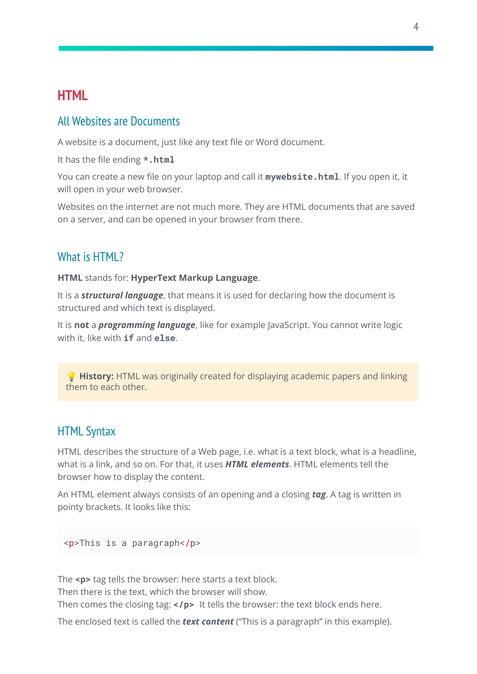# **HTML**

#### All Websites are Documents

A website is a document, just like any text file or Word document.

It has the file ending **\*.html**

You can create a new file on your laptop and call it **mywebsite.html**. If you open it, it will open in your web browser.

Websites on the internet are not much more. They are HTML documents that are saved on a server, and can be opened in your browser from there.

## What is HTML?

**HTML** stands for: **HyperText Markup Language**.

It is a *structural language*, that means it is used for declaring how the document is structured and which text is displayed.

It is **not** a *programming language*, like for example JavaScript. You cannot write logic with it, like with **if** and **else**.

**History:** HTML was originally created for displaying academic papers and linking them to each other.

## HTML Syntax

HTML describes the structure of a Web page, i.e. what is a text block, what is a headline, what is a link, and so on. For that, it uses *HTML elements*. HTML elements tell the browser how to display the content.

An HTML element always consists of an opening and a closing *tag*. A tag is written in pointy brackets. It looks like this:

<p>This is a paragraph</p>

The **<p>** tag tells the browser: here starts a text block.

Then there is the text, which the browser will show.

Then comes the closing tag: **</p>** It tells the browser: the text block ends here.

The enclosed text is called the *text content* ("This is a paragraph" in this example).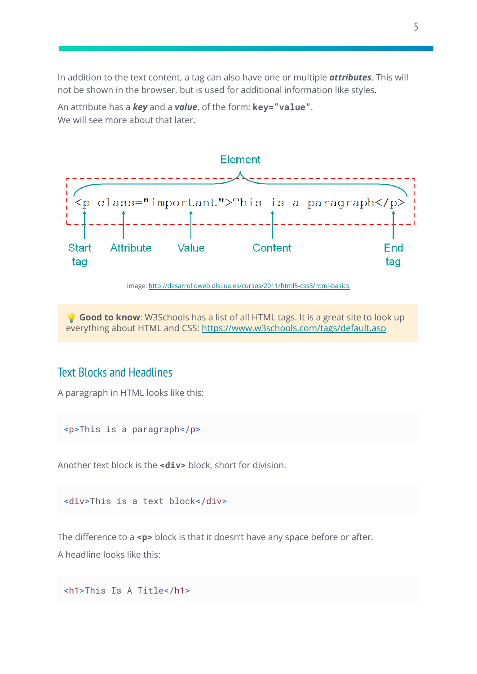In addition to the text content, a tag can also have one or multiple *attributes*. This will not be shown in the browser, but is used for additional information like styles.

An attribute has a *key* and a *value*, of the form: **key="value"**. We will see more about that later.



Image: <http://desarrolloweb.dlsi.ua.es/cursos/2011/html5-css3/html-basics>

 **Good to know**: W3Schools has a list of all HTML tags. It is a great site to look up everything about HTML and CSS: <https://www.w3schools.com/tags/default.asp>

#### Text Blocks and Headlines

A paragraph in HTML looks like this:

<p>This is a paragraph</p>

Another text block is the **<div>** block, short for division.

<div>This is a text block</div>

The difference to a <p> block is that it doesn't have any space before or after.

A headline looks like this:

```
<h1>This Is A Title</h1>
```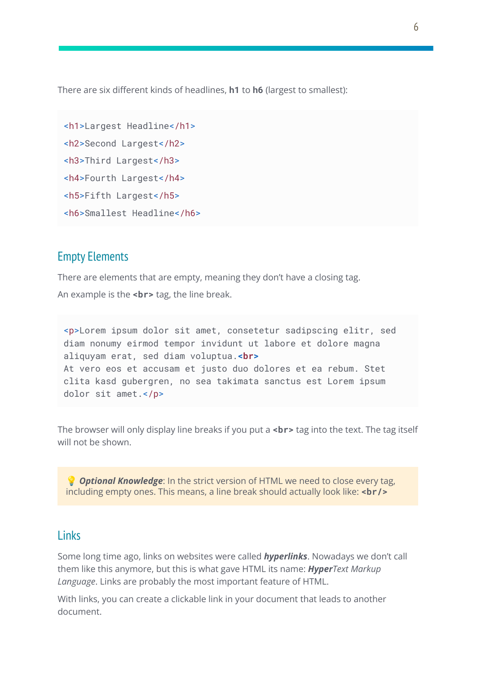There are six different kinds of headlines, **h1** to **h6** (largest to smallest):

```
<h1>Largest Headline</h1>
<h2>Second Largest</h2>
<h3>Third Largest</h3>
<h4>Fourth Largest</h4>
<h5>Fifth Largest</h5>
<h6>Smallest Headline</h6>
```
## Empty Elements

There are elements that are empty, meaning they don't have a closing tag.

An example is the **<br>** tag, the line break.

<p>Lorem ipsum dolor sit amet, consetetur sadipscing elitr, sed diam nonumy eirmod tempor invidunt ut labore et dolore magna aliquyam erat, sed diam voluptua.**<br>** At vero eos et accusam et justo duo dolores et ea rebum. Stet clita kasd gubergren, no sea takimata sanctus est Lorem ipsum dolor sit amet.</p>

The browser will only display line breaks if you put a **<br>** tag into the text. The tag itself will not be shown.

 *Optional Knowledge*: In the strict version of HTML we need to close every tag, including empty ones. This means, a line break should actually look like: **<br/>br/>** 

#### Links

Some long time ago, links on websites were called *hyperlinks*. Nowadays we don't call them like this anymore, but this is what gave HTML its name: *HyperText Markup Language*. Links are probably the most important feature of HTML.

With links, you can create a clickable link in your document that leads to another document.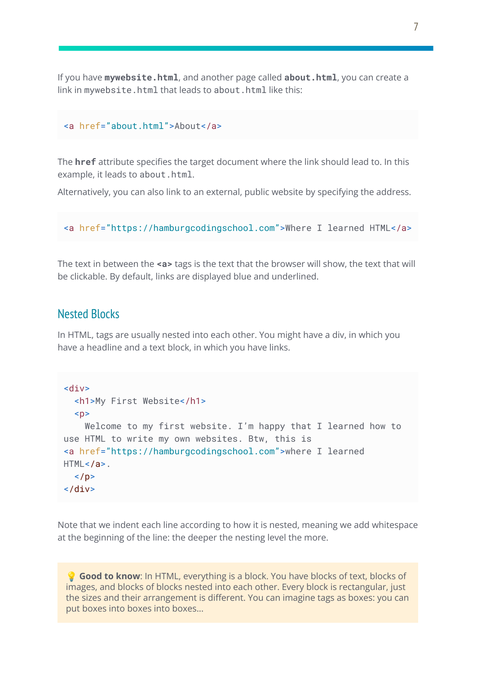If you have **mywebsite.html**, and another page called **about.html**, you can create a link in mywebsite.html that leads to about.html like this:

```
<a href="about.html">About</a>
```
The **href** attribute specifies the target document where the link should lead to. In this example, it leads to about.html.

Alternatively, you can also link to an external, public website by specifying the address.

```
<a href="https://hamburgcodingschool.com">Where I learned HTML</a>
```
The text in between the **<a>** tags is the text that the browser will show, the text that will be clickable. By default, links are displayed blue and underlined.

#### Nested Blocks

In HTML, tags are usually nested into each other. You might have a div, in which you have a headline and a text block, in which you have links.

```
<div>
  <h1>My First Website</h1>
 \langle D>
    Welcome to my first website. I'm happy that I learned how to
use HTML to write my own websites. Btw, this is
<a href="https://hamburgcodingschool.com">where I learned
HTML < /a\langle/n>
</div>
```
Note that we indent each line according to how it is nested, meaning we add whitespace at the beginning of the line: the deeper the nesting level the more.

 **Good to know**: In HTML, everything is a block. You have blocks of text, blocks of images, and blocks of blocks nested into each other. Every block is rectangular, just the sizes and their arrangement is different. You can imagine tags as boxes: you can put boxes into boxes into boxes...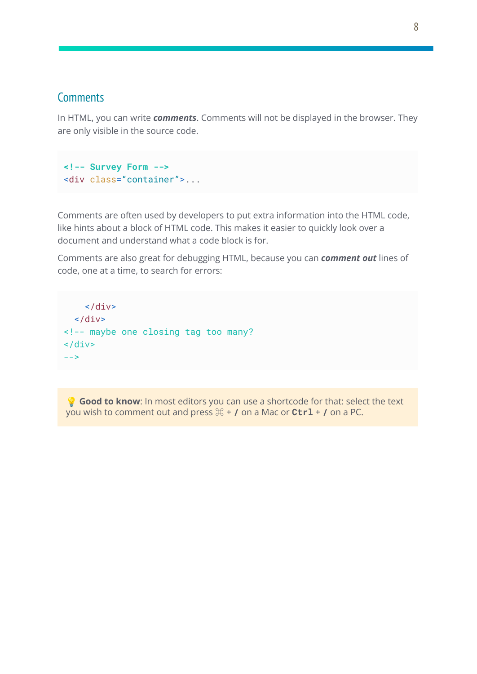## **Comments**

In HTML, you can write *comments*. Comments will not be displayed in the browser. They are only visible in the source code.

```
<!-- Survey Form -->
<div class="container">...
```
Comments are often used by developers to put extra information into the HTML code, like hints about a block of HTML code. This makes it easier to quickly look over a document and understand what a code block is for.

Comments are also great for debugging HTML, because you can *comment out* lines of code, one at a time, to search for errors:

```
\langlediv>\langlediv><!-- maybe one closing tag too many?
\langlediv>-->
```
**Good to know**: In most editors you can use a shortcode for that: select the text you wish to comment out and press  $\mathbb{H}$  + **/** on a Mac or **Ctrl** + **/** on a PC.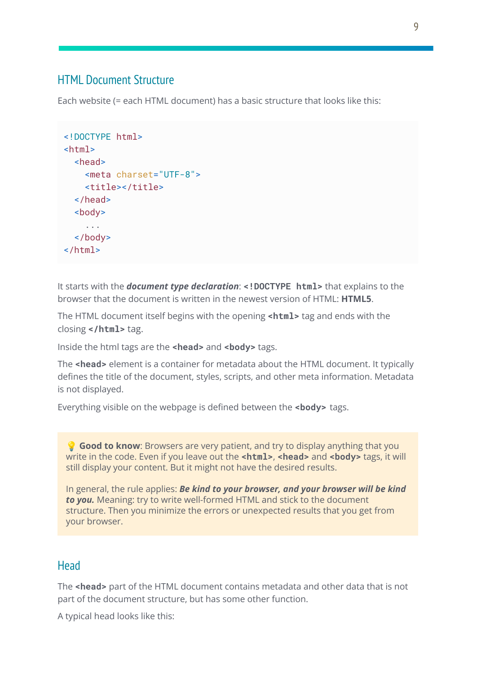# HTML Document Structure

Each website (= each HTML document) has a basic structure that looks like this:

```
<!DOCTYPE html>
<html>
 <head>
    <meta charset="UTF-8">
    <title></title>
  </head>
 <body>
    ...
  </body>
</html>
```
It starts with the *document type declaration*: **<!DOCTYPE html>** that explains to the browser that the document is written in the newest version of HTML: **HTML5**.

The HTML document itself begins with the opening **<html>** tag and ends with the closing **</html>** tag.

Inside the html tags are the **<head>** and **<body>** tags.

The **<head>** element is a container for metadata about the HTML document. It typically defines the title of the document, styles, scripts, and other meta information. Metadata is not displayed.

Everything visible on the webpage is defined between the **<body>** tags.

 **Good to know**: Browsers are very patient, and try to display anything that you write in the code. Even if you leave out the **<html>**, **<head>** and **<br/>body>** tags, it will still display your content. But it might not have the desired results.

In general, the rule applies: *Be kind to your browser, and your browser will be kind to you.* Meaning: try to write well-formed HTML and stick to the document structure. Then you minimize the errors or unexpected results that you get from your browser.

# Head

The **<head>** part of the HTML document contains metadata and other data that is not part of the document structure, but has some other function.

A typical head looks like this: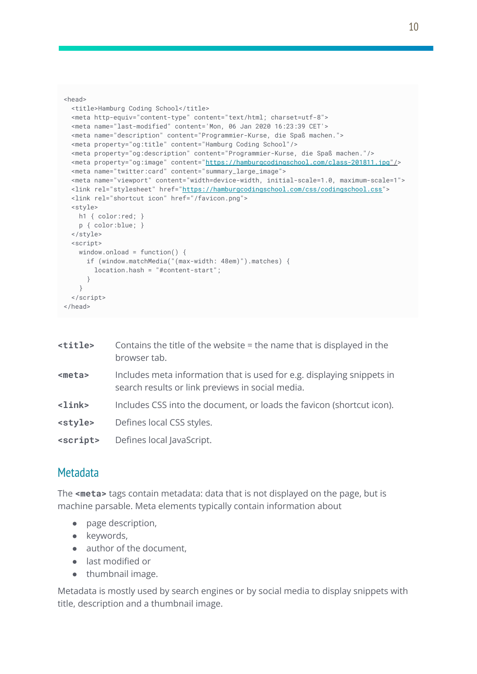```
<head>
 <title>Hamburg Coding School</title>
 <meta http-equiv="content-type" content="text/html; charset=utf-8">
 <meta name="last-modified" content='Mon, 06 Jan 2020 16:23:39 CET'>
 <meta name="description" content="Programmier-Kurse, die Spaß machen.">
 <meta property="og:title" content="Hamburg Coding School"/>
 <meta property="og:description" content="Programmier-Kurse, die Spaß machen."/>
 <meta property="og:image" content="https://hamburgcodingschool.com/class-201811.jpg"/>
 <meta name="twitter:card" content="summary_large_image">
 <meta name="viewport" content="width=device-width, initial-scale=1.0, maximum-scale=1">
 <link rel="stylesheet" href="https://hamburgcodingschool.com/css/codingschool.css">
 <link rel="shortcut icon" href="/favicon.png">
 <style>
   h1 { color:red; }
   p { color:blue; }
 </style>
 <script>
   window.onload = function() {
     if (window.matchMedia("(max-width: 48em)").matches) {
       location.hash = "#content-start";
     }
   }
  </script>
</head>
```

| <title></title>          | Contains the title of the website $=$ the name that is displayed in the<br>browser tab.                                    |
|--------------------------|----------------------------------------------------------------------------------------------------------------------------|
| <meta/>                  | Includes meta information that is used for e.g. displaying snippets in<br>search results or link previews in social media. |
| $\langle$ link $\rangle$ | Includes CSS into the document, or loads the favicon (shortcut icon).                                                      |
| <style></style>          |                                                                                                                            |

# **Metadata**

The **<meta>** tags contain metadata: data that is not displayed on the page, but is machine parsable. Meta elements typically contain information about

- page description,
- keywords,
- author of the document.
- last modified or
- thumbnail image.

Metadata is mostly used by search engines or by social media to display snippets with title, description and a thumbnail image.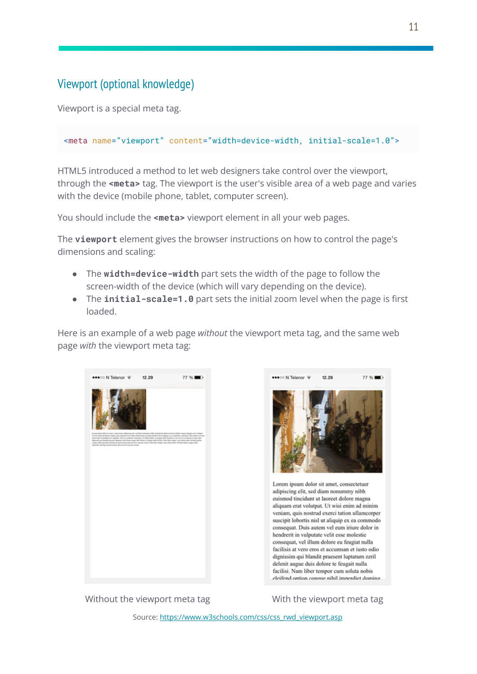# Viewport (optional knowledge)

Viewport is a special meta tag.

```
<meta name="viewport" content="width=device-width, initial-scale=1.0">
```
HTML5 introduced a method to let web designers take control over the viewport, through the **<meta>** tag. The viewport is the user's visible area of a web page and varies with the device (mobile phone, tablet, computer screen).

You should include the **<meta>** viewport element in all your web pages.

The **viewport** element gives the browser instructions on how to control the page's dimensions and scaling:

- The **width=device-width** part sets the width of the page to follow the screen-width of the device (which will vary depending on the device).
- The **initial-scale=1.0** part sets the initial zoom level when the page is first loaded.

Here is an example of a web page *without* the viewport meta tag, and the same web page *with* the viewport meta tag:





Lorem ipsum dolor sit amet, consectetuer adipiscing elit, sed diam nonummy nibh euismod tincidunt ut laoreet dolore magna aliquam erat volutpat. Ut wisi enim ad minim veniam, quis nostrud exerci tation ullamcorper suscipit lobortis nisl ut aliquip ex ea commodo consequat. Duis autem vel eum iriure dolor in hendrerit in vulputate velit esse molestie consequat, vel illum dolore eu feugiat nulla facilisis at vero eros et accumsan et iusto odio dignissim qui blandit praesent luptatum zzril delenit augue duis dolore te feugait nulla facilisi. Nam liber tempor cum soluta nobis eleifend ontion congue nihil imperdiet doming

Without the viewport meta tag with the viewport meta tag

Source: [https://www.w3schools.com/css/css\\_rwd\\_viewport.asp](https://www.w3schools.com/css/css_rwd_viewport.asp)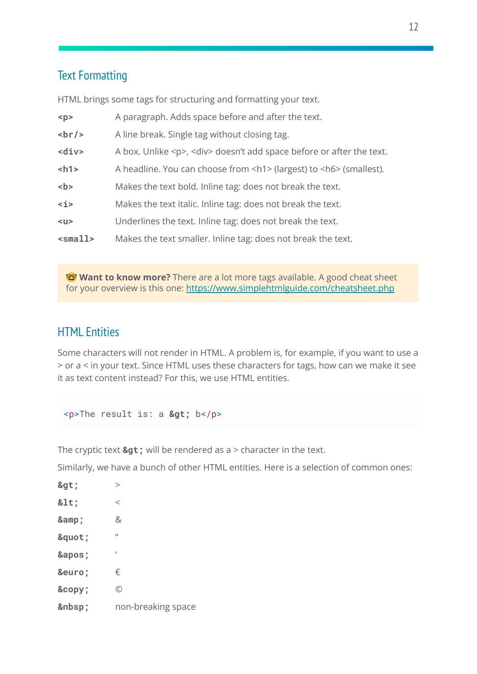# Text Formatting

HTML brings some tags for structuring and formatting your text.

| < p >               | A paragraph. Adds space before and after the text.                             |
|---------------------|--------------------------------------------------------------------------------|
| br/                 | A line break. Single tag without closing tag.                                  |
| $<$ div $>$         | A box. Unlike <p>, <div> doesn't add space before or after the text.</div></p> |
| $<$ h1>             | A headline. You can choose from <h1> (largest) to <h6> (smallest).</h6></h1>   |
| $5$                 | Makes the text bold. Inline tag: does not break the text.                      |
| $\langle i \rangle$ | Makes the text italic. Inline tag: does not break the text.                    |
| $u$                 | Underlines the text. Inline tag: does not break the text.                      |
| $<$ small>          | Makes the text smaller. Inline tag: does not break the text.                   |

**Want to know more?** There are a lot more tags available. A good cheat sheet for your overview is this one: <https://www.simplehtmlguide.com/cheatsheet.php>

# HTML Entities

Some characters will not render in HTML. A problem is, for example, if you want to use a > or a < in your text. Since HTML uses these characters for tags, how can we make it see it as text content instead? For this, we use HTML entities.

<p>The result is: a &gt; b</p>

The cryptic text  $\>$  will be rendered as a  $>$  character in the text.

Similarly, we have a bunch of other HTML entities. Here is a selection of common ones:

| >     | $\rm{>}$           |
|-------|--------------------|
| $<$ : | $\,<\,$            |
| &     | &                  |
| "     | $\mathbf{u}$       |
| '     | ı                  |
| €     | €                  |
| ©     | $\odot$            |
|       | non-breaking space |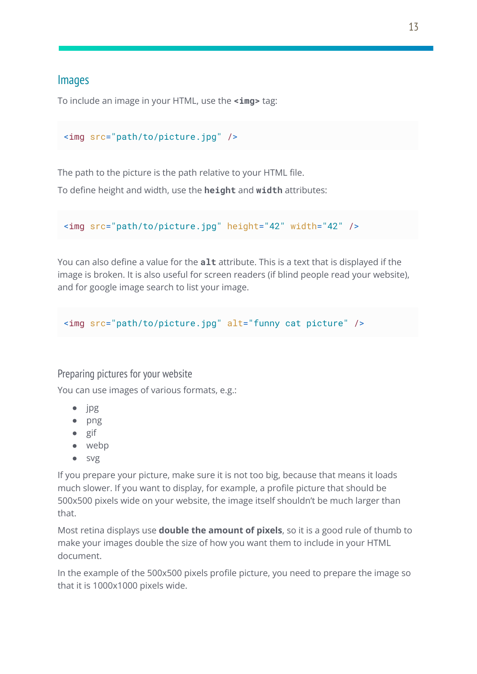## Images

To include an image in your HTML, use the **<img>** tag:

```
<img src="path/to/picture.jpg" />
```
The path to the picture is the path relative to your HTML file.

To define height and width, use the **height** and **width** attributes:

<img src="path/to/picture.jpg" height="42" width="42" />

You can also define a value for the **alt** attribute. This is a text that is displayed if the image is broken. It is also useful for screen readers (if blind people read your website), and for google image search to list your image.

<img src="path/to/picture.jpg" alt="funny cat picture" />

#### Preparing pictures for your website

You can use images of various formats, e.g.:

- jpg
- png
- gif
- webp
- svg

If you prepare your picture, make sure it is not too big, because that means it loads much slower. If you want to display, for example, a profile picture that should be 500x500 pixels wide on your website, the image itself shouldn't be much larger than that.

Most retina displays use **double the amount of pixels**, so it is a good rule of thumb to make your images double the size of how you want them to include in your HTML document.

In the example of the 500x500 pixels profile picture, you need to prepare the image so that it is 1000x1000 pixels wide.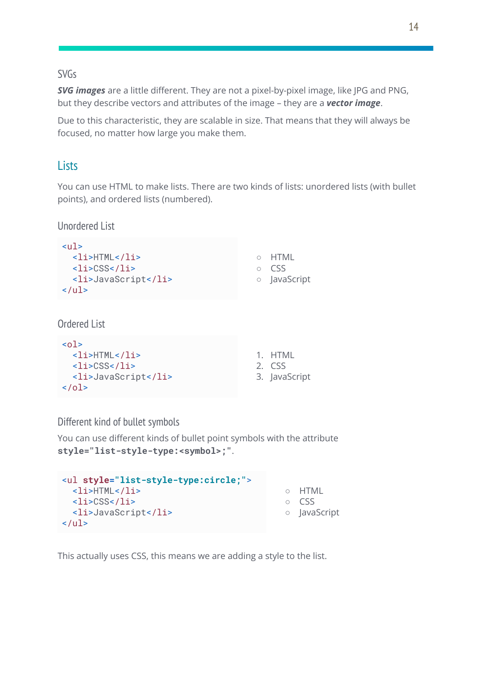#### SVGs

*SVG images* are a little different. They are not a pixel-by-pixel image, like JPG and PNG, but they describe vectors and attributes of the image – they are a *vector image*.

Due to this characteristic, they are scalable in size. That means that they will always be focused, no matter how large you make them.

## **Lists**

You can use HTML to make lists. There are two kinds of lists: unordered lists (with bullet points), and ordered lists (numbered).

Unordered List

| $u1$<br>$<$ li>HTML<br>$<$ li> $<$ SS<br><li>JavaScript</li><br>$\langle \text{ul} \rangle$ | $\bigcirc$<br>∩<br>$\bigcirc$ | HTML<br><b>CSS</b><br>JavaScript |
|---------------------------------------------------------------------------------------------|-------------------------------|----------------------------------|
| <b>Ordered List</b>                                                                         |                               |                                  |
| $01>$<br>- 2014 ST LITT MILL 2014 ST                                                        | $\overline{ }$                | <u>I ITRAI</u>                   |

| $<$ li>HTML         | 1. HTML       |
|---------------------|---------------|
| $<$ li>CSS          | 2. CSS        |
| <li>JavaScript</li> | 3. JavaScript |
| $\langle$ ol>       |               |

Different kind of bullet symbols

You can use different kinds of bullet point symbols with the attribute **style="list-style-type:<symbol>;"**.

| <ul style="list-style-type:circle;"></ul>                  |              |
|------------------------------------------------------------|--------------|
| $<$ li>HTML                                                | 0 HTML       |
| $\langle\text{li}\rangle\text{CSS}\langle\text{li}\rangle$ | $\circ$ CSS  |
| <li>JavaScript</li>                                        | o JavaScript |
| $\langle$ /ul>                                             |              |

This actually uses CSS, this means we are adding a style to the list.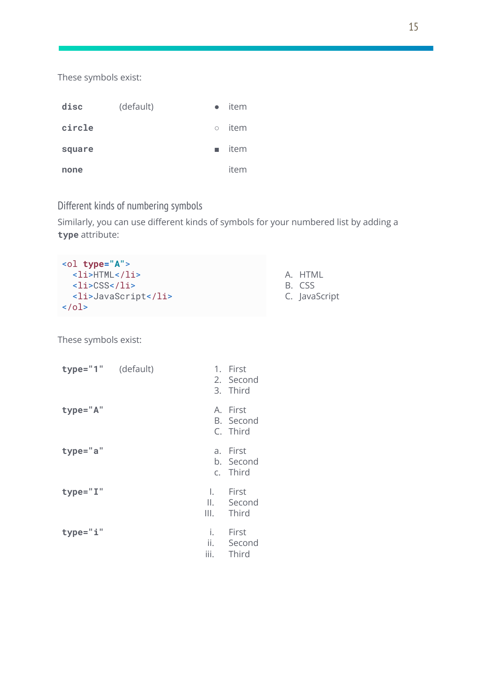These symbols exist:

| disc   | (default) | $\bullet$ | item         |
|--------|-----------|-----------|--------------|
| circle |           |           | $\circ$ item |
| square |           |           | item         |
| none   |           |           | item         |

Different kinds of numbering symbols

Similarly, you can use different kinds of symbols for your numbered list by adding a **type** attribute:

| $\left\{ 01 \text{ type} = "A" \right\}$ |
|------------------------------------------|
| $<$ li>HTML                              |
| <li>CSS</li>                             |
| <li>JavaScript</li>                      |
| $\langle$ ol>                            |

A. HTML

B. CSS

C. JavaScript

These symbols exist:

| type="1" (default) |                   | 1. First<br>2. Second<br>3. Third   |
|--------------------|-------------------|-------------------------------------|
| type="A"           |                   | A. First<br>B. Second<br>C. Third   |
| type="a"           |                   | a. First<br>b. Second<br>c. Third   |
| type="I"           | I.<br>III.        | <b>First</b><br>II. Second<br>Third |
| type="i"           | i.<br>ii.<br>iii. | First<br>Second<br>Third            |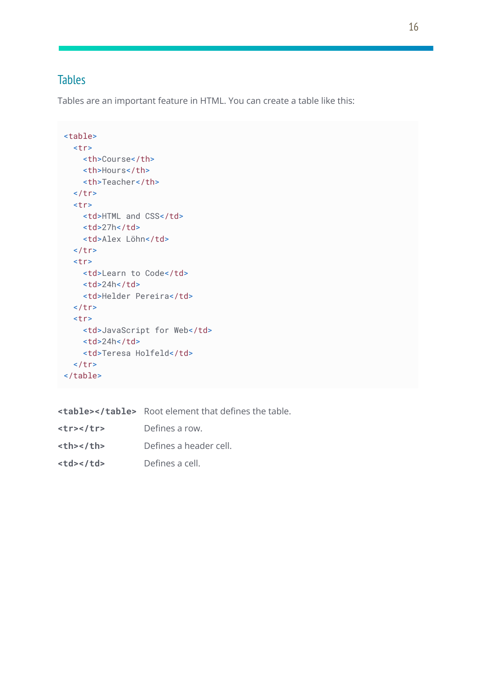# Tables

Tables are an important feature in HTML. You can create a table like this:

```
<table>
  <tr>
   <th>Course</th>
    <th>Hours</th>
    <th>Teacher</th>
  \langletr>
  <tr>
   <td>HTML and CSS</td>
   <td>27h</td>
   <td>Alex Löhn</td>
  \langletr>
  <tr>
   <td>Learn to Code</td>
   <td>24h</td>
    <td>Helder Pereira</td>
  \langletr>
  <tr>
   <td>JavaScript for Web</td>
   <td>24h</td>
   <td>Teresa Holfeld</td>
  \langle/tr>
</table>
```

|                  | <table></table> Root element that defines the table. |                        |
|------------------|------------------------------------------------------|------------------------|
| $<$ tr> $<$ /tr> | Defines a row.                                       |                        |
| <th></th>        |                                                      | Defines a header cell. |
| <td></td>        |                                                      | Defines a cell.        |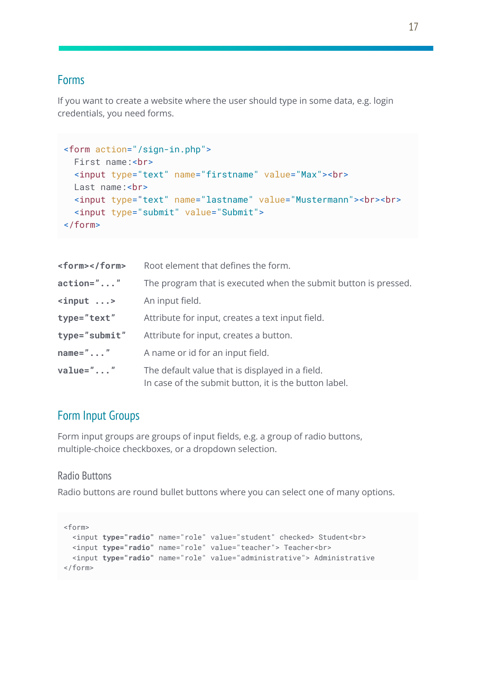#### Forms

If you want to create a website where the user should type in some data, e.g. login credentials, you need forms.

```
<form action="/sign-in.php">
 First name:<br>
 <input type="text" name="firstname" value="Max"><br>
 Last name:<br>
 <input type="text" name="lastname" value="Mustermann"><br><br>
  <input type="submit" value="Submit">
</form>
```

| <form></form>      | Root element that defines the form.                                                                      |
|--------------------|----------------------------------------------------------------------------------------------------------|
| $action=" \ldots"$ | The program that is executed when the submit button is pressed.                                          |
| $\langle$ input >  | An input field.                                                                                          |
| type="text"        | Attribute for input, creates a text input field.                                                         |
| type="submit"      | Attribute for input, creates a button.                                                                   |
| $name="$ "         | A name or id for an input field.                                                                         |
| $value=""$         | The default value that is displayed in a field.<br>In case of the submit button, it is the button label. |

# Form Input Groups

Form input groups are groups of input fields, e.g. a group of radio buttons, multiple-choice checkboxes, or a dropdown selection.

#### Radio Buttons

Radio buttons are round bullet buttons where you can select one of many options.

```
<form>
 <input type="radio" name="role" value="student" checked> Student<br>
 <input type="radio" name="role" value="teacher"> Teacher<br>
 <input type="radio" name="role" value="administrative"> Administrative
</form>
```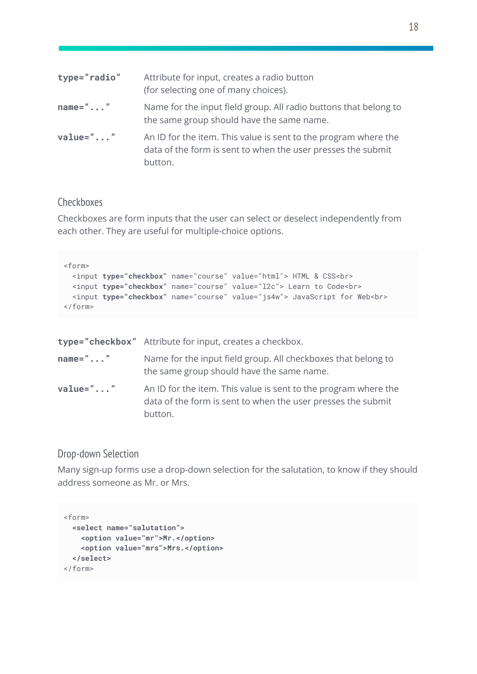| type="radio" | Attribute for input, creates a radio button<br>(for selecting one of many choices).                                                        |
|--------------|--------------------------------------------------------------------------------------------------------------------------------------------|
| $name="$ "   | Name for the input field group. All radio buttons that belong to<br>the same group should have the same name.                              |
| $value=""$   | An ID for the item. This value is sent to the program where the<br>data of the form is sent to when the user presses the submit<br>button. |

#### Checkboxes

Checkboxes are form inputs that the user can select or deselect independently from each other. They are useful for multiple-choice options.

```
<form>
 <input type="checkbox" name="course" value="html"> HTML & CSS<br>
 <input type="checkbox" name="course" value="l2c"> Learn to Code<br>
 <input type="checkbox" name="course" value="js4w"> JavaScript for Web<br>
</form>
```

|                 | type="checkbox" Attribute for input, creates a checkbox.                                                                                   |
|-----------------|--------------------------------------------------------------------------------------------------------------------------------------------|
| $name="math> "$ | Name for the input field group. All checkboxes that belong to<br>the same group should have the same name.                                 |
| $value=""$      | An ID for the item. This value is sent to the program where the<br>data of the form is sent to when the user presses the submit<br>button. |

#### Drop-down Selection

Many sign-up forms use a drop-down selection for the salutation, to know if they should address someone as Mr. or Mrs.

```
<form>
 <select name="salutation">
   <option value="mr">Mr.</option>
   <option value="mrs">Mrs.</option>
 </select>
</form>
```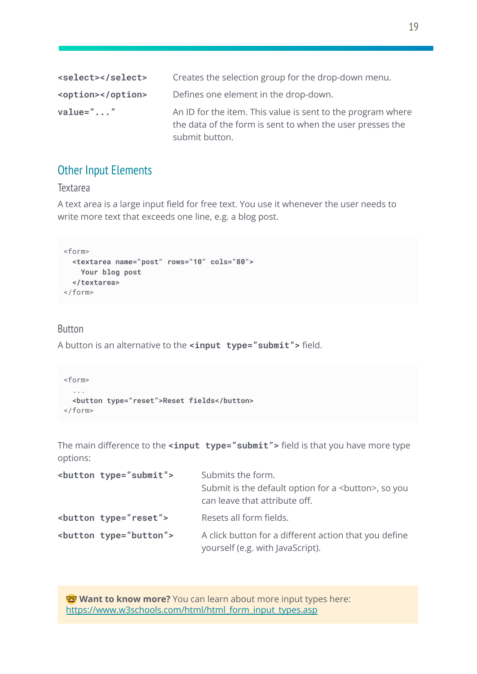| <select></select> | Creates the selection group for the drop-down menu.                                                                                        |
|-------------------|--------------------------------------------------------------------------------------------------------------------------------------------|
| <option></option> | Defines one element in the drop-down.                                                                                                      |
| value=""          | An ID for the item. This value is sent to the program where<br>the data of the form is sent to when the user presses the<br>submit button. |

## Other Input Elements

#### **Textarea**

A text area is a large input field for free text. You use it whenever the user needs to write more text that exceeds one line, e.g. a blog post.

```
<form>
 <textarea name="post" rows="10" cols="80">
   Your blog post
 </textarea>
</form>
```
#### Button

A button is an alternative to the **<input type="submit">** field.

```
<form>
 ...
 <button type="reset">Reset fields</button>
</form>
```
The main difference to the **<input type="submit">** field is that you have more type options:

| <button type="submit"></button> | Submits the form.<br>Submit is the default option for a<br>button>, so you<br>can leave that attribute off. |
|---------------------------------|-------------------------------------------------------------------------------------------------------------|
| <button type="reset"></button>  | Resets all form fields.                                                                                     |
| <button type="button"></button> | A click button for a different action that you define<br>yourself (e.g. with JavaScript).                   |

**Want to know more?** You can learn about more input types here: [https://www.w3schools.com/html/html\\_form\\_input\\_types.asp](https://www.w3schools.com/html/html_form_input_types.asp)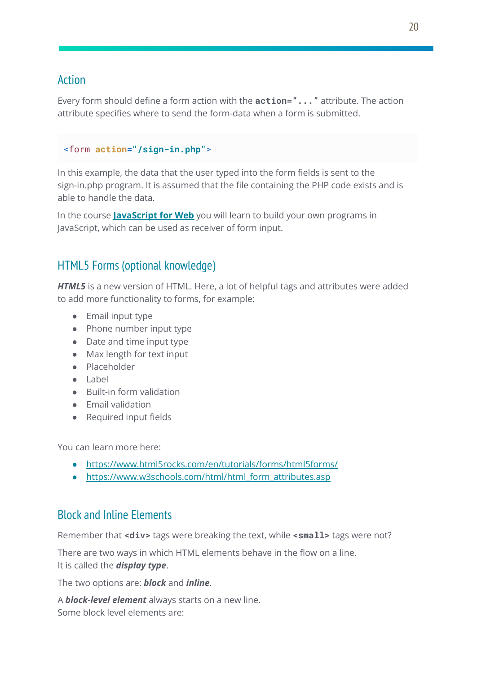## Action

Every form should define a form action with the **action="..."** attribute. The action attribute specifies where to send the form-data when a form is submitted.

```
<form action="/sign-in.php">
```
In this example, the data that the user typed into the form fields is sent to the sign-in.php program. It is assumed that the file containing the PHP code exists and is able to handle the data.

In the course **[JavaScript](https://hamburgcodingschool.com/courses/javascript-for-web-1/) for Web** you will learn to build your own programs in JavaScript, which can be used as receiver of form input.

# HTML5 Forms (optional knowledge)

**HTML5** is a new version of HTML. Here, a lot of helpful tags and attributes were added to add more functionality to forms, for example:

- Email input type
- Phone number input type
- Date and time input type
- Max length for text input
- Placeholder
- Label
- Built-in form validation
- Email validation
- Required input fields

You can learn more here:

- <https://www.html5rocks.com/en/tutorials/forms/html5forms/>
- https://www.w3schools.com/html/html form attributes.asp

# Block and Inline Elements

Remember that <div> tags were breaking the text, while <small> tags were not?

There are two ways in which HTML elements behave in the flow on a line. It is called the *display type*.

The two options are: *block* and *inline*.

A *block-level element* always starts on a new line. Some block level elements are: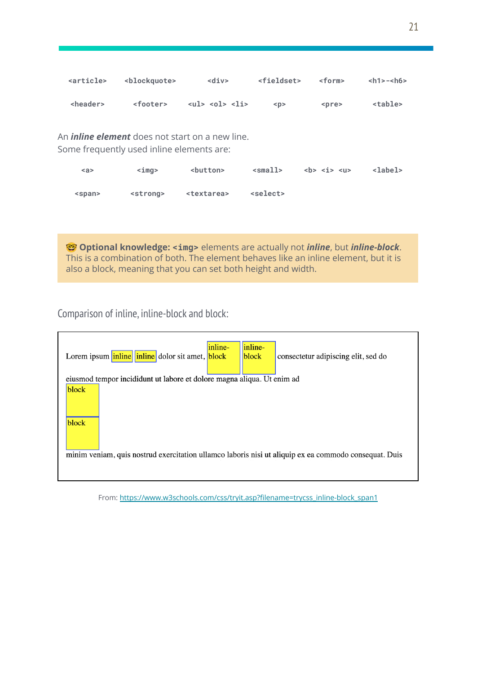| <article></article>                                                                                 | <blockguote></blockguote> | $<$ div $>$                                                    | <fieldset></fieldset> | $<$ form $>$                                                      | $<$ h1>- $<$ h6> |
|-----------------------------------------------------------------------------------------------------|---------------------------|----------------------------------------------------------------|-----------------------|-------------------------------------------------------------------|------------------|
| <header></header>                                                                                   | <footer></footer>         | $\langle 01 \rangle$ $\langle 01 \rangle$ $\langle 11 \rangle$ | < p >                 | <pre></pre>                                                       | stable>          |
| An <i>inline element</i> does not start on a new line.<br>Some frequently used inline elements are: |                           |                                                                |                       |                                                                   |                  |
| $\leq a$                                                                                            | $<$ imq $>$               | <button></button>                                              | $\leq$ small>         | $5 5 5 6 6 6 7 8 8 9 9 9 9 9 9 9 9 9 9 9 9 9 9 9 9 9 9 9 9 9 9 9$ | <label></label>  |
| <span></span>                                                                                       | <strong></strong>         | <textarea></textarea>                                          | <select></select>     |                                                                   |                  |

 **Optional knowledge: <img>** elements are actually not *inline*, but *inline-block*. This is a combination of both. The element behaves like an inline element, but it is also a block, meaning that you can set both height and width.

Comparison of inline, inline-block and block:

| Lorem ipsum inline inline dolor sit amet, block                                                       | inline- | inline-<br>block | consectetur adipiscing elit, sed do |
|-------------------------------------------------------------------------------------------------------|---------|------------------|-------------------------------------|
| eiusmod tempor incididunt ut labore et dolore magna aliqua. Ut enim ad                                |         |                  |                                     |
| block                                                                                                 |         |                  |                                     |
| block                                                                                                 |         |                  |                                     |
| minim veniam, quis nostrud exercitation ullamco laboris nisi ut aliquip ex ea commodo consequat. Duis |         |                  |                                     |

From: [https://www.w3schools.com/css/tryit.asp?filename=trycss\\_inline-block\\_span1](https://www.w3schools.com/css/tryit.asp?filename=trycss_inline-block_span1)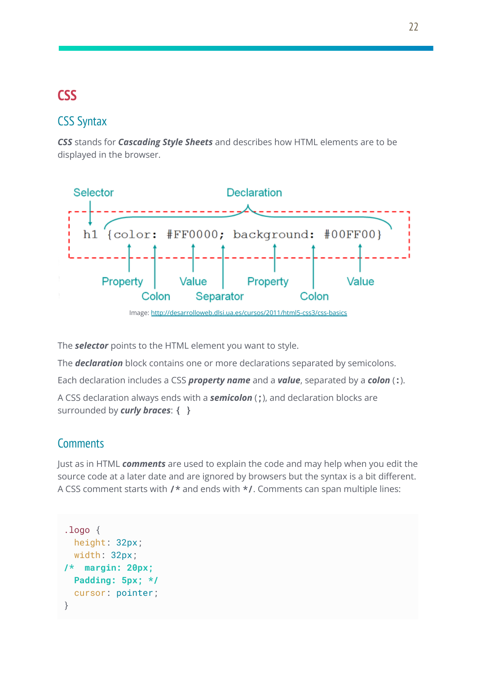# **CSS**

# CSS Syntax

*CSS* stands for *Cascading Style Sheets* and describes how HTML elements are to be displayed in the browser.



The *selector* points to the HTML element you want to style.

The *declaration* block contains one or more declarations separated by semicolons.

Each declaration includes a CSS *property name* and a *value*, separated by a *colon* (**:**).

A CSS declaration always ends with a *semicolon* (**;**), and declaration blocks are surrounded by *curly braces*: **{ }**

# **Comments**

Just as in HTML *comments* are used to explain the code and may help when you edit the source code at a later date and are ignored by browsers but the syntax is a bit different. A CSS comment starts with **/\*** and ends with **\*/**. Comments can span multiple lines:

```
.logo {
 height: 32px;
 width: 32px;
/* margin: 20px;
 Padding: 5px; */
 cursor: pointer;
}
```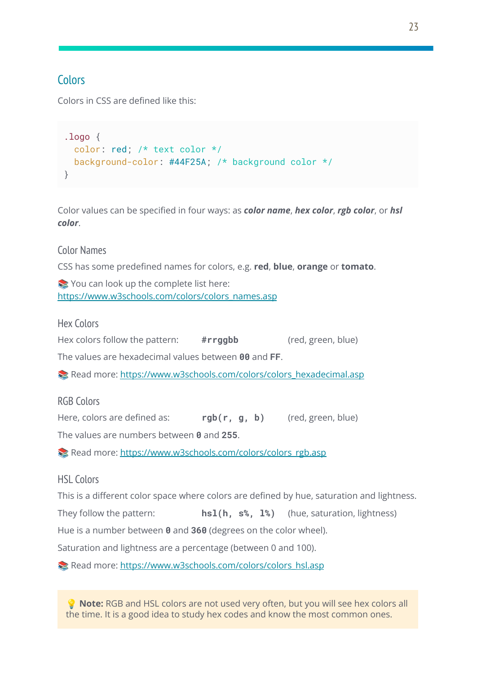# **Colors**

Colors in CSS are defined like this:

```
.logo {
 color: red; /* text color */
 background-color: #44F25A; /* background color */
}
```
Color values can be specified in four ways: as *color name*, *hex color*, *rgb color*, or *hsl color*.

#### Color Names

CSS has some predefined names for colors, e.g. **red**, **blue**, **orange** or **tomato**.

You can look up the complete list here: [https://www.w3schools.com/colors/colors\\_names.asp](https://www.w3schools.com/colors/colors_names.asp)

Hex Colors

Hex colors follow the pattern: **#rrggbb** (red, green, blue)

The values are hexadecimal values between **00** and **FF**.

 $\blacktriangleright$  Read more: [https://www.w3schools.com/colors/colors\\_hexadecimal.asp](https://www.w3schools.com/colors/colors_hexadecimal.asp)

RGB Colors

Here, colors are defined as: **rgb(r, g, b)** (red, green, blue)

The values are numbers between **0** and **255**.

Read more: [https://www.w3schools.com/colors/colors\\_rgb.asp](https://www.w3schools.com/colors/colors_rgb.asp)

#### HSL Colors

This is a different color space where colors are defined by hue, saturation and lightness.

They follow the pattern: **hsl(h, s%, l%)** (hue, saturation, lightness)

Hue is a number between **0** and **360** (degrees on the color wheel).

Saturation and lightness are a percentage (between 0 and 100).

Read more: [https://www.w3schools.com/colors/colors\\_hsl.asp](https://www.w3schools.com/colors/colors_hsl.asp)

 **Note:** RGB and HSL colors are not used very often, but you will see hex colors all the time. It is a good idea to study hex codes and know the most common ones.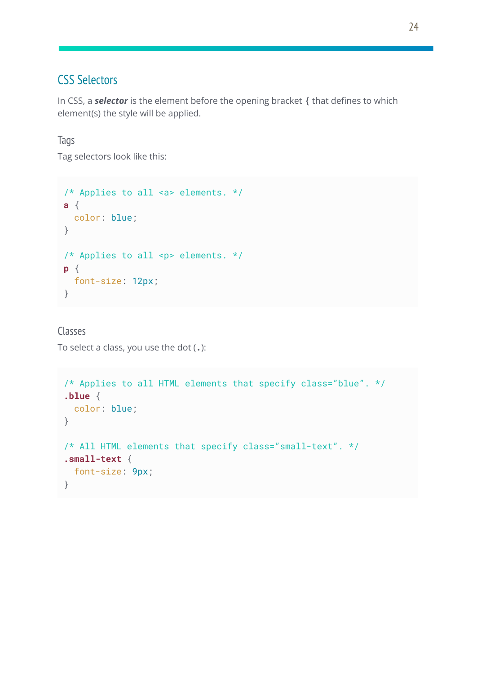# CSS Selectors

In CSS, a *selector* is the element before the opening bracket **{** that defines to which element(s) the style will be applied.

## Tags

Tag selectors look like this:

```
/* Applies to all <a> elements. */
a {
color: blue;
}
/* Applies to all <p> elements. */
p {
 font-size: 12px;
}
```
Classes To select a class, you use the dot (**.**):

```
/* Applies to all HTML elements that specify class="blue". */
.blue {
 color: blue;
}
/* All HTML elements that specify class="small-text". */
.small-text {
 font-size: 9px;
}
```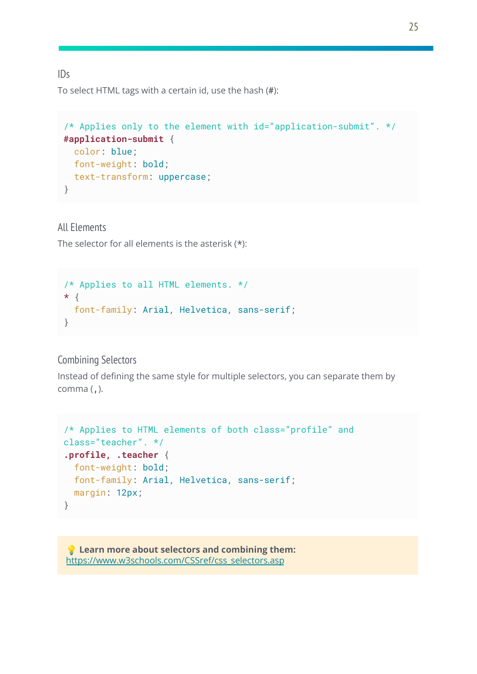#### $IDS$

To select HTML tags with a certain id, use the hash (**#**):

```
/* Applies only to the element with id="application-submit". */
#application-submit {
 color: blue;
 font-weight: bold;
 text-transform: uppercase;
}
```
All Elements

The selector for all elements is the asterisk (**\***):

```
/* Applies to all HTML elements. */
* {
 font-family: Arial, Helvetica, sans-serif;
}
```
#### Combining Selectors

Instead of defining the same style for multiple selectors, you can separate them by comma (**,**).

```
/* Applies to HTML elements of both class="profile" and
class="teacher". */
.profile, .teacher {
 font-weight: bold;
 font-family: Arial, Helvetica, sans-serif;
 margin: 12px;
}
```
 **Learn more about selectors and combining them:** [https://www.w3schools.com/CSSref/css\\_selectors.asp](https://www.w3schools.com/CSSref/css_selectors.asp)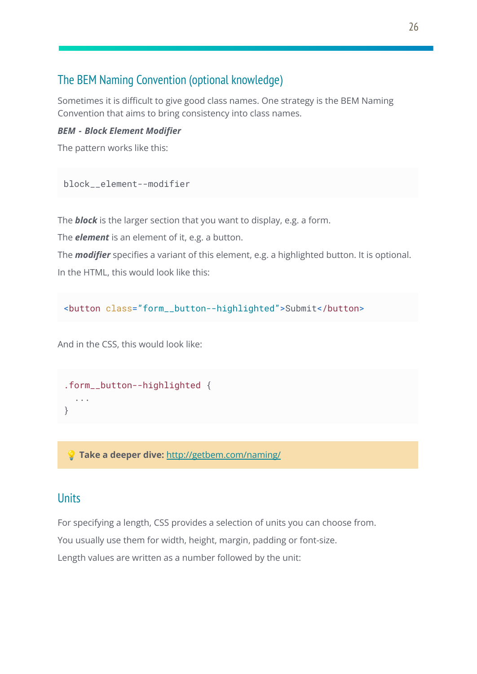# The BEM Naming Convention (optional knowledge)

Sometimes it is difficult to give good class names. One strategy is the BEM Naming Convention that aims to bring consistency into class names.

#### *BEM - Block Element Modifier*

The pattern works like this:

```
block__element--modifier
```
The *block* is the larger section that you want to display, e.g. a form.

The *element* is an element of it, e.g. a button.

The *modifier* specifies a variant of this element, e.g. a highlighted button. It is optional. In the HTML, this would look like this:

<button class="form\_\_button--highlighted">Submit</button>

And in the CSS, this would look like:

```
.form__button--highlighted {
  ...
}
```
**Take a deeper dive:** <http://getbem.com/naming/>

#### Units

For specifying a length, CSS provides a selection of units you can choose from.

You usually use them for width, height, margin, padding or font-size.

Length values are written as a number followed by the unit: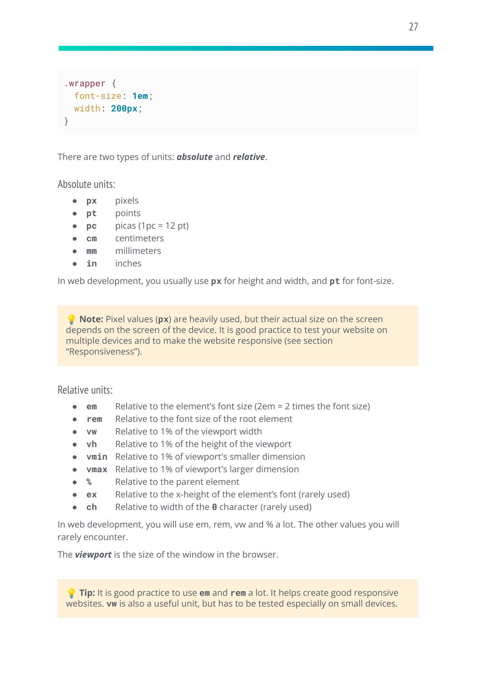```
.wrapper {
 font-size: 1em;
 width: 200px;
}
```
There are two types of units: *absolute* and *relative*.

Absolute units:

- **px** pixels
- **pt** points
- $\bullet$  **pc** picas (1pc = 12 pt)
- **cm** centimeters
- **mm** millimeters
- **in** inches

In web development, you usually use **px** for height and width, and **pt** for font-size.

 **Note:** Pixel values (**px**) are heavily used, but their actual size on the screen depends on the screen of the device. It is good practice to test your website on multiple devices and to make the website responsive (see section "Responsiveness").

Relative units:

- **em** Relative to the element's font size (2em = 2 times the font size)
- **rem** Relative to the font size of the root element
- **vw** Relative to 1% of the viewport width
- **vh** Relative to 1% of the height of the viewport
- **vmin** Relative to 1% of viewport's smaller dimension
- **vmax** Relative to 1% of viewport's larger dimension
- **%** Relative to the parent element
- **ex** Relative to the x-height of the element's font (rarely used)
- **ch** Relative to width of the **0** character (rarely used)

In web development, you will use em, rem, vw and % a lot. The other values you will rarely encounter.

The *viewport* is the size of the window in the browser.

 **Tip:** It is good practice to use **em** and **rem** a lot. It helps create good responsive websites. **vw** is also a useful unit, but has to be tested especially on small devices.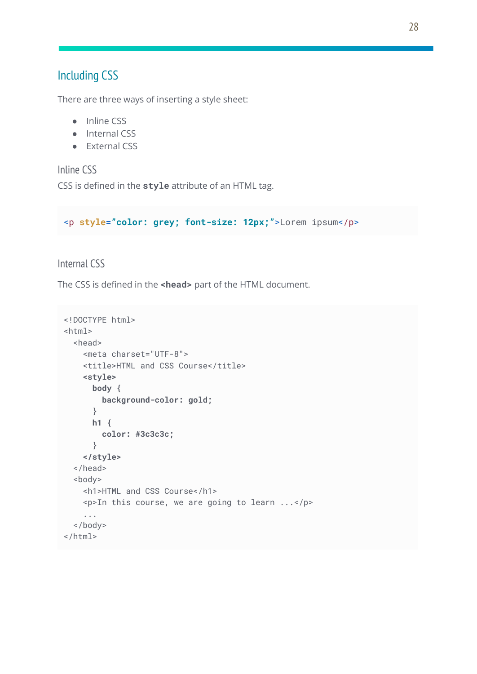## Including CSS

There are three ways of inserting a style sheet:

- Inline CSS
- Internal CSS
- External CSS

Inline CSS CSS is defined in the **style** attribute of an HTML tag.

<p **style="color: grey; font-size: 12px;"**>Lorem ipsum</p>

Internal CSS

The CSS is defined in the **<head>** part of the HTML document.

```
<!DOCTYPE html>
<html>
  <head>
    <meta charset="UTF-8">
    <title>HTML and CSS Course</title>
    <style>
     body {
        background-color: gold;
      }
     h1 {
        color: #3c3c3c;
      }
    </style>
  </head>
  <body>
    <h1>HTML and CSS Course</h1>
    <p>In this course, we are going to learn ...</p>
    ...
  </body>
</html>
```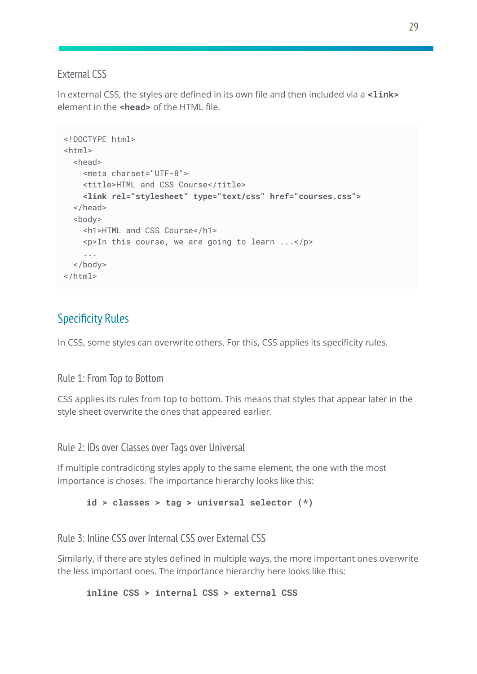#### External CSS

In external CSS, the styles are defined in its own file and then included via a **<link>** element in the **<head>** of the HTML file.

```
<!DOCTYPE html>
<html>
  <head>
    <meta charset="UTF-8">
    <title>HTML and CSS Course</title>
    <link rel="stylesheet" type="text/css" href="courses.css">
  </head>
  <body>
    <h1>HTML and CSS Course</h1>
    <p>In this course, we are going to learn ...</p>
    ...
  </body>
</html>
```
# Specificity Rules

In CSS, some styles can overwrite others. For this, CSS applies its specificity rules.

Rule 1: From Top to Bottom

CSS applies its rules from top to bottom. This means that styles that appear later in the style sheet overwrite the ones that appeared earlier.

Rule 2: IDs over Classes over Tags over Universal

If multiple contradicting styles apply to the same element, the one with the most importance is choses. The importance hierarchy looks like this:

```
id > classes > tag > universal selector (*)
```
Rule 3: Inline CSS over Internal CSS over External CSS

Similarly, if there are styles defined in multiple ways, the more important ones overwrite the less important ones. The importance hierarchy here looks like this:

**inline CSS > internal CSS > external CSS**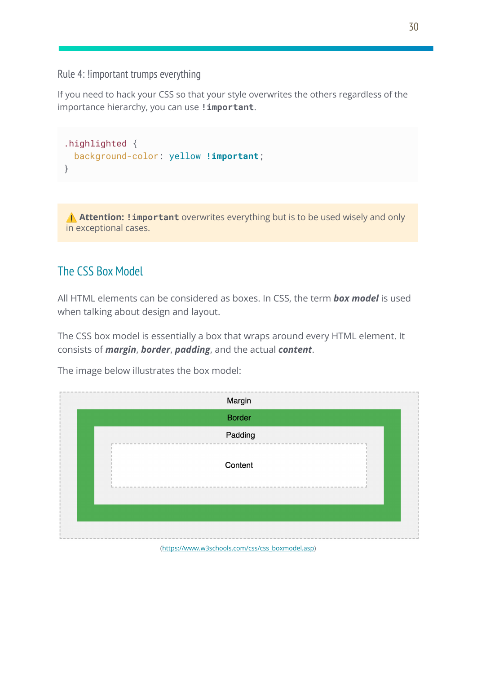Rule 4: !important trumps everything

If you need to hack your CSS so that your style overwrites the others regardless of the importance hierarchy, you can use **!important**.

```
.highlighted {
 background-color: yellow !important;
}
```
⚠️ **Attention: !important** overwrites everything but is to be used wisely and only in exceptional cases.

# The CSS Box Model

All HTML elements can be considered as boxes. In CSS, the term *box model* is used when talking about design and layout.

The CSS box model is essentially a box that wraps around every HTML element. It consists of *margin*, *border*, *padding*, and the actual *content*.

The image below illustrates the box model:

| Margin                                                 |
|--------------------------------------------------------|
| <b>Border</b>                                          |
| Padding                                                |
| Content                                                |
|                                                        |
| $l$ https://www.com/anhande.com/andexna have adol non) |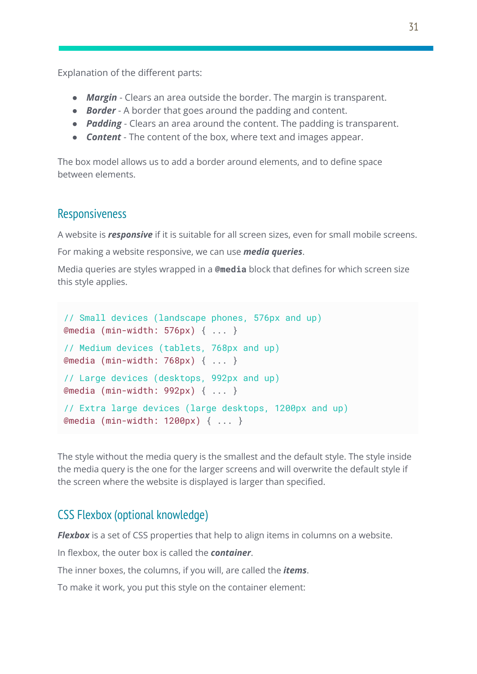Explanation of the different parts:

- *Margin* Clears an area outside the border. The margin is transparent.
- *Border* A border that goes around the padding and content.
- *Padding* Clears an area around the content. The padding is transparent.
- *Content* The content of the box, where text and images appear.

The box model allows us to add a border around elements, and to define space between elements.

## **Responsiveness**

A website is *responsive* if it is suitable for all screen sizes, even for small mobile screens.

For making a website responsive, we can use *media queries*.

Media queries are styles wrapped in a **@media** block that defines for which screen size this style applies.

```
// Small devices (landscape phones, 576px and up)
@media (min-width: 576px) { ... }
// Medium devices (tablets, 768px and up)
@media (min-width: 768px) { ... }
// Large devices (desktops, 992px and up)
@media (min-width: 992px) { ... }
// Extra large devices (large desktops, 1200px and up)
@media (min-width: 1200px) { ... }
```
The style without the media query is the smallest and the default style. The style inside the media query is the one for the larger screens and will overwrite the default style if the screen where the website is displayed is larger than specified.

# CSS Flexbox (optional knowledge)

*Flexbox* is a set of CSS properties that help to align items in columns on a website.

In flexbox, the outer box is called the *container*.

The inner boxes, the columns, if you will, are called the *items*.

To make it work, you put this style on the container element: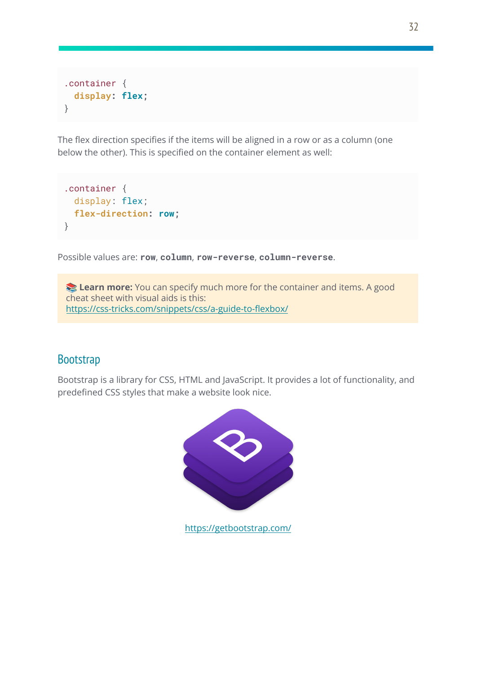```
.container {
  display: flex;
}
```
The flex direction specifies if the items will be aligned in a row or as a column (one below the other). This is specified on the container element as well:

```
.container {
 display: flex;
 flex-direction: row;
}
```
Possible values are: **row**, **column**, **row-reverse**, **column-reverse**.

**Learn more:** You can specify much more for the container and items. A good cheat sheet with visual aids is this: <https://css-tricks.com/snippets/css/a-guide-to-flexbox/>

# **Bootstrap**

Bootstrap is a library for CSS, HTML and JavaScript. It provides a lot of functionality, and predefined CSS styles that make a website look nice.



<https://getbootstrap.com/>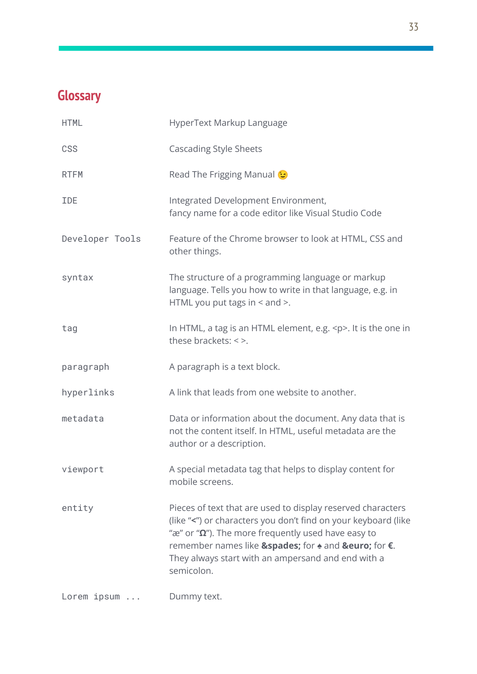# **Glossary**

| <b>HTML</b>     | HyperText Markup Language                                                                                                                                                                                                                                                                                                           |
|-----------------|-------------------------------------------------------------------------------------------------------------------------------------------------------------------------------------------------------------------------------------------------------------------------------------------------------------------------------------|
| CSS             | <b>Cascading Style Sheets</b>                                                                                                                                                                                                                                                                                                       |
| <b>RTFM</b>     | Read The Frigging Manual &                                                                                                                                                                                                                                                                                                          |
| <b>IDE</b>      | Integrated Development Environment,<br>fancy name for a code editor like Visual Studio Code                                                                                                                                                                                                                                         |
| Developer Tools | Feature of the Chrome browser to look at HTML, CSS and<br>other things.                                                                                                                                                                                                                                                             |
| syntax          | The structure of a programming language or markup<br>language. Tells you how to write in that language, e.g. in<br>HTML you put tags in $<$ and $>$ .                                                                                                                                                                               |
| tag             | In HTML, a tag is an HTML element, e.g. <p>. It is the one in<br/>these brackets: <math>\lt</math> &gt;.</p>                                                                                                                                                                                                                        |
| paragraph       | A paragraph is a text block.                                                                                                                                                                                                                                                                                                        |
| hyperlinks      | A link that leads from one website to another.                                                                                                                                                                                                                                                                                      |
| metadata        | Data or information about the document. Any data that is<br>not the content itself. In HTML, useful metadata are the<br>author or a description.                                                                                                                                                                                    |
| viewport        | A special metadata tag that helps to display content for<br>mobile screens.                                                                                                                                                                                                                                                         |
| entity          | Pieces of text that are used to display reserved characters<br>(like "<") or characters you don't find on your keyboard (like<br>" $\mathbb{R}$ " or " $\Omega$ "). The more frequently used have easy to<br>remember names like ♠ for $\triangle$ and € for €.<br>They always start with an ampersand and end with a<br>semicolon. |
| Lorem ipsum     | Dummy text.                                                                                                                                                                                                                                                                                                                         |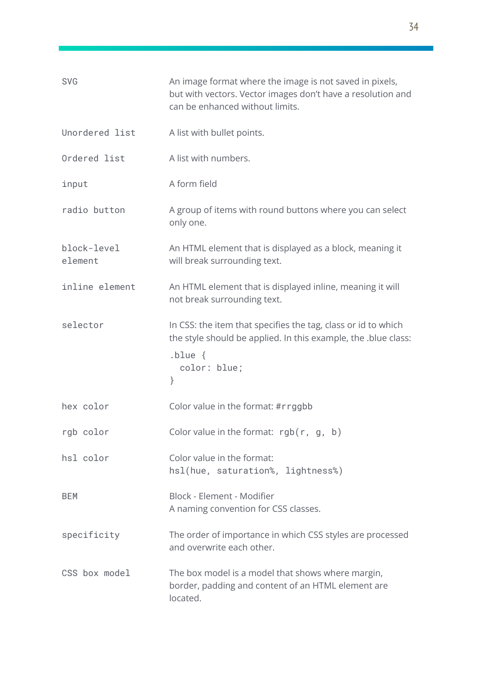| <b>SVG</b>             | An image format where the image is not saved in pixels,<br>but with vectors. Vector images don't have a resolution and<br>can be enhanced without limits.                  |
|------------------------|----------------------------------------------------------------------------------------------------------------------------------------------------------------------------|
| Unordered list         | A list with bullet points.                                                                                                                                                 |
| Ordered list           | A list with numbers.                                                                                                                                                       |
| input                  | A form field                                                                                                                                                               |
| radio button           | A group of items with round buttons where you can select<br>only one.                                                                                                      |
| block-level<br>element | An HTML element that is displayed as a block, meaning it<br>will break surrounding text.                                                                                   |
| inline element         | An HTML element that is displayed inline, meaning it will<br>not break surrounding text.                                                                                   |
| selector               | In CSS: the item that specifies the tag, class or id to which<br>the style should be applied. In this example, the .blue class:<br>$.b \leq u \leq 1$<br>color: blue;<br>} |
| hex color              | Color value in the format: #rrggbb                                                                                                                                         |
| rgb color              | Color value in the format: $rgb(r, g, b)$                                                                                                                                  |
| hsl color              | Color value in the format:<br>hsl(hue, saturation%, lightness%)                                                                                                            |
| <b>BEM</b>             | Block - Element - Modifier<br>A naming convention for CSS classes.                                                                                                         |
| specificity            | The order of importance in which CSS styles are processed<br>and overwrite each other.                                                                                     |
| CSS box model          | The box model is a model that shows where margin,<br>border, padding and content of an HTML element are<br>located.                                                        |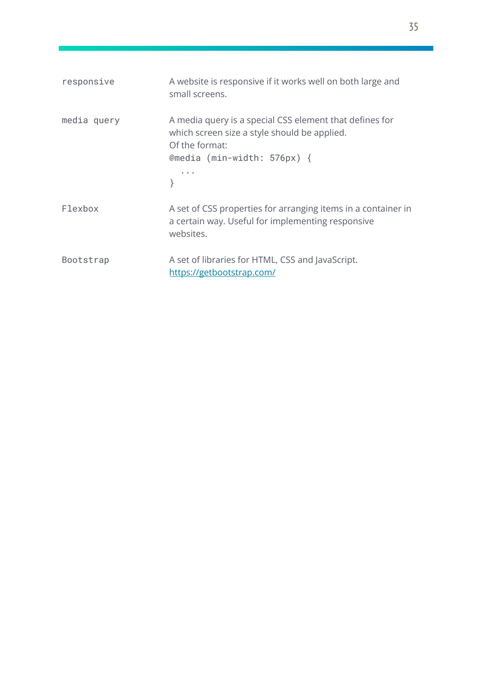| responsive  | A website is responsive if it works well on both large and<br>small screens.                                                                               |
|-------------|------------------------------------------------------------------------------------------------------------------------------------------------------------|
| media query | A media query is a special CSS element that defines for<br>which screen size a style should be applied.<br>Of the format:<br>@media $(min-width: 576px)$ { |
| Flexbox     | A set of CSS properties for arranging items in a container in<br>a certain way. Useful for implementing responsive<br>websites.                            |
| Bootstrap   | A set of libraries for HTML, CSS and JavaScript.<br>https://getbootstrap.com/                                                                              |